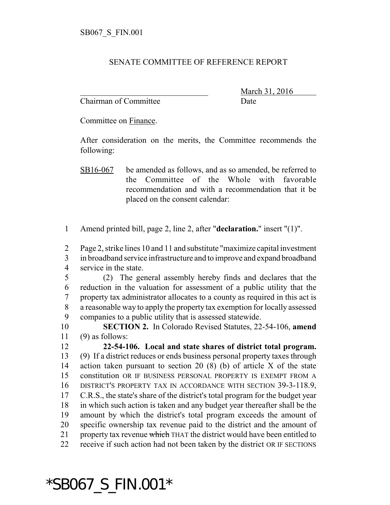## SENATE COMMITTEE OF REFERENCE REPORT

Chairman of Committee Date

March 31, 2016

Committee on Finance.

After consideration on the merits, the Committee recommends the following:

Amend printed bill, page 2, line 2, after "**declaration.**" insert "(1)".

Page 2, strike lines 10 and 11 and substitute "maximize capital investment

 in broadband service infrastructure and to improve and expand broadband service in the state.

 (2) The general assembly hereby finds and declares that the reduction in the valuation for assessment of a public utility that the property tax administrator allocates to a county as required in this act is a reasonable way to apply the property tax exemption for locally assessed companies to a public utility that is assessed statewide.

 **SECTION 2.** In Colorado Revised Statutes, 22-54-106, **amend** (9) as follows:

 **22-54-106. Local and state shares of district total program.** (9) If a district reduces or ends business personal property taxes through action taken pursuant to section 20 (8) (b) of article X of the state constitution OR IF BUSINESS PERSONAL PROPERTY IS EXEMPT FROM A DISTRICT'S PROPERTY TAX IN ACCORDANCE WITH SECTION 39-3-118.9, C.R.S., the state's share of the district's total program for the budget year in which such action is taken and any budget year thereafter shall be the amount by which the district's total program exceeds the amount of specific ownership tax revenue paid to the district and the amount of 21 property tax revenue which THAT the district would have been entitled to receive if such action had not been taken by the district OR IF SECTIONS

## \*SB067\_S\_FIN.001\*

SB16-067 be amended as follows, and as so amended, be referred to the Committee of the Whole with favorable recommendation and with a recommendation that it be placed on the consent calendar: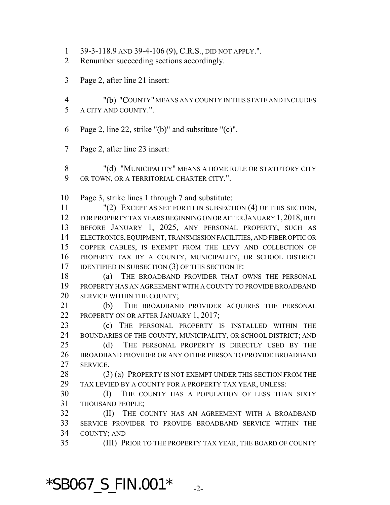- 39-3-118.9 AND 39-4-106 (9), C.R.S., DID NOT APPLY.".
- Renumber succeeding sections accordingly.
- Page 2, after line 21 insert:
- "(b) "COUNTY" MEANS ANY COUNTY IN THIS STATE AND INCLUDES A CITY AND COUNTY.".
- Page 2, line 22, strike "(b)" and substitute "(c)".
- Page 2, after line 23 insert:
- 8 "(d) "MUNICIPALITY" MEANS A HOME RULE OR STATUTORY CITY 9 OR TOWN, OR A TERRITORIAL CHARTER CITY.".

Page 3, strike lines 1 through 7 and substitute:

 "(2) EXCEPT AS SET FORTH IN SUBSECTION (4) OF THIS SECTION, FOR PROPERTY TAX YEARS BEGINNING ON OR AFTER JANUARY 1,2018, BUT BEFORE JANUARY 1, 2025, ANY PERSONAL PROPERTY, SUCH AS ELECTRONICS, EQUIPMENT, TRANSMISSION FACILITIES, AND FIBER OPTIC OR COPPER CABLES, IS EXEMPT FROM THE LEVY AND COLLECTION OF PROPERTY TAX BY A COUNTY, MUNICIPALITY, OR SCHOOL DISTRICT 17 IDENTIFIED IN SUBSECTION (3) OF THIS SECTION IF:

18 (a) THE BROADBAND PROVIDER THAT OWNS THE PERSONAL PROPERTY HAS AN AGREEMENT WITH A COUNTY TO PROVIDE BROADBAND SERVICE WITHIN THE COUNTY;

 (b) THE BROADBAND PROVIDER ACQUIRES THE PERSONAL 22 PROPERTY ON OR AFTER JANUARY 1, 2017;

 (c) THE PERSONAL PROPERTY IS INSTALLED WITHIN THE BOUNDARIES OF THE COUNTY, MUNICIPALITY, OR SCHOOL DISTRICT; AND (d) THE PERSONAL PROPERTY IS DIRECTLY USED BY THE BROADBAND PROVIDER OR ANY OTHER PERSON TO PROVIDE BROADBAND SERVICE.

28 (3) (a) PROPERTY IS NOT EXEMPT UNDER THIS SECTION FROM THE TAX LEVIED BY A COUNTY FOR A PROPERTY TAX YEAR, UNLESS:

 (I) THE COUNTY HAS A POPULATION OF LESS THAN SIXTY THOUSAND PEOPLE;

 (II) THE COUNTY HAS AN AGREEMENT WITH A BROADBAND SERVICE PROVIDER TO PROVIDE BROADBAND SERVICE WITHIN THE COUNTY; AND

(III) PRIOR TO THE PROPERTY TAX YEAR, THE BOARD OF COUNTY

 $*$ SB067\_S\_FIN.001 $*$   $_{-2}$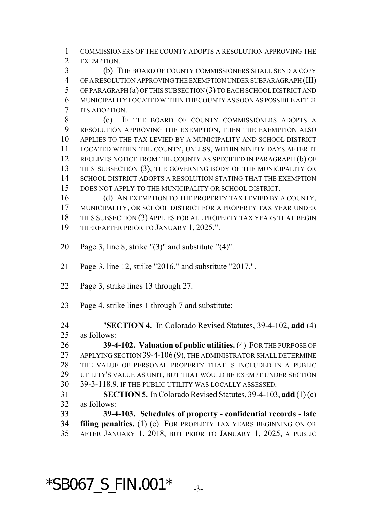COMMISSIONERS OF THE COUNTY ADOPTS A RESOLUTION APPROVING THE EXEMPTION.

 (b) THE BOARD OF COUNTY COMMISSIONERS SHALL SEND A COPY OF A RESOLUTION APPROVING THE EXEMPTION UNDER SUBPARAGRAPH (III) OF PARAGRAPH (a) OF THIS SUBSECTION (3) TO EACH SCHOOL DISTRICT AND MUNICIPALITY LOCATED WITHIN THE COUNTY AS SOON AS POSSIBLE AFTER ITS ADOPTION.

 (c) IF THE BOARD OF COUNTY COMMISSIONERS ADOPTS A RESOLUTION APPROVING THE EXEMPTION, THEN THE EXEMPTION ALSO APPLIES TO THE TAX LEVIED BY A MUNICIPALITY AND SCHOOL DISTRICT LOCATED WITHIN THE COUNTY, UNLESS, WITHIN NINETY DAYS AFTER IT RECEIVES NOTICE FROM THE COUNTY AS SPECIFIED IN PARAGRAPH (b) OF THIS SUBSECTION (3), THE GOVERNING BODY OF THE MUNICIPALITY OR SCHOOL DISTRICT ADOPTS A RESOLUTION STATING THAT THE EXEMPTION DOES NOT APPLY TO THE MUNICIPALITY OR SCHOOL DISTRICT.

16 (d) AN EXEMPTION TO THE PROPERTY TAX LEVIED BY A COUNTY, MUNICIPALITY, OR SCHOOL DISTRICT FOR A PROPERTY TAX YEAR UNDER THIS SUBSECTION (3) APPLIES FOR ALL PROPERTY TAX YEARS THAT BEGIN 19 THEREAFTER PRIOR TO JANUARY 1, 2025.".

- Page 3, line 8, strike "(3)" and substitute "(4)".
- Page 3, line 12, strike "2016." and substitute "2017.".
- Page 3, strike lines 13 through 27.
- Page 4, strike lines 1 through 7 and substitute:

 "**SECTION 4.** In Colorado Revised Statutes, 39-4-102, **add** (4) as follows:

 **39-4-102. Valuation of public utilities.** (4) FOR THE PURPOSE OF 27 APPLYING SECTION 39-4-106 (9), THE ADMINISTRATOR SHALL DETERMINE THE VALUE OF PERSONAL PROPERTY THAT IS INCLUDED IN A PUBLIC UTILITY'S VALUE AS UNIT, BUT THAT WOULD BE EXEMPT UNDER SECTION 39-3-118.9, IF THE PUBLIC UTILITY WAS LOCALLY ASSESSED. **SECTION 5.** In Colorado Revised Statutes, 39-4-103, **add** (1) (c)

as follows:

 **39-4-103. Schedules of property - confidential records - late filing penalties.** (1) (c) FOR PROPERTY TAX YEARS BEGINNING ON OR AFTER JANUARY 1, 2018, BUT PRIOR TO JANUARY 1, 2025, A PUBLIC

 $*SBO67_S_FIN.001*$   $3.5$